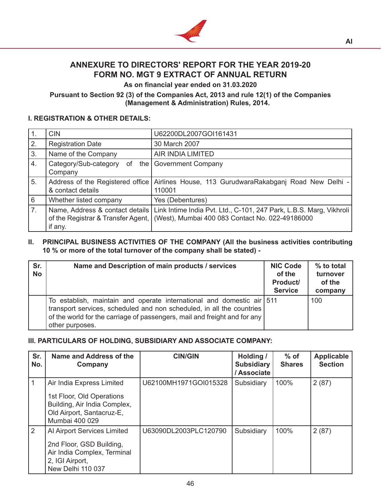

# **ANNEXURE TO DIRECTORS' REPORT FOR THE YEAR 2019-20 FORM NO. MGT 9 EXTRACT OF ANNUAL RETURN**

**As on financial year ended on 31.03.2020**

### **Pursuant to Section 92 (3) of the Companies Act, 2013 and rule 12(1) of the Companies (Management & Administration) Rules, 2014.**

### **I. REGISTRATION & OTHER DETAILS:**

| $\vert$ 1. | <b>CIN</b>                             | U62200DL2007GOI161431                                                                                                                                                                         |
|------------|----------------------------------------|-----------------------------------------------------------------------------------------------------------------------------------------------------------------------------------------------|
| 2.         | <b>Registration Date</b>               | 30 March 2007                                                                                                                                                                                 |
| 3.         | Name of the Company                    | AIR INDIA LIMITED                                                                                                                                                                             |
| I 4.       | Category/Sub-category<br>of<br>Company | the Government Company                                                                                                                                                                        |
| 5.         | & contact details                      | Address of the Registered office   Airlines House, 113 GurudwaraRakabganj Road New Delhi -  <br>110001                                                                                        |
| 6          | Whether listed company                 | Yes (Debentures)                                                                                                                                                                              |
| 7.         | if any.                                | Name, Address & contact details   Link Intime India Pvt. Ltd., C-101, 247 Park, L.B.S. Marg, Vikhroli  <br>of the Registrar & Transfer Agent, (West), Mumbai 400 083 Contact No. 022-49186000 |

#### **II. PRINCIPAL BUSINESS ACTIVITIES OF THE COMPANY (All the business activities contributing 10 % or more of the total turnover of the company shall be stated) -**

| Sr.<br><b>No</b> | Name and Description of main products / services                                                                                                                                                                                               | <b>NIC Code</b><br>of the<br>Product/<br><b>Service</b> | % to total<br>turnover<br>of the<br>company |
|------------------|------------------------------------------------------------------------------------------------------------------------------------------------------------------------------------------------------------------------------------------------|---------------------------------------------------------|---------------------------------------------|
|                  | To establish, maintain and operate international and domestic air 511<br>transport services, scheduled and non scheduled, in all the countries<br>of the world for the carriage of passengers, mail and freight and for any<br>other purposes. |                                                         | 100                                         |

## **III. PARTICULARS OF HOLDING, SUBSIDIARY AND ASSOCIATE COMPANY:**

| Sr.<br>No.     | Name and Address of the<br>Company                                                                                                    | <b>CIN/GIN</b>        | Holding /<br><b>Subsidiary</b><br>/ Associate | $%$ of<br><b>Shares</b> | <b>Applicable</b><br><b>Section</b> |
|----------------|---------------------------------------------------------------------------------------------------------------------------------------|-----------------------|-----------------------------------------------|-------------------------|-------------------------------------|
|                | Air India Express Limited<br>1st Floor, Old Operations<br>Building, Air India Complex,<br>Old Airport, Santacruz-E,<br>Mumbai 400 029 | U62100MH1971GOI015328 | Subsidiary                                    | 100%                    | 2(87)                               |
| $\overline{2}$ | Al Airport Services Limited<br>2nd Floor, GSD Building,<br>Air India Complex, Terminal<br>2, IGI Airport,<br>New Delhi 110 037        | U63090DL2003PLC120790 | Subsidiary                                    | 100%                    | 2(87)                               |

**AI**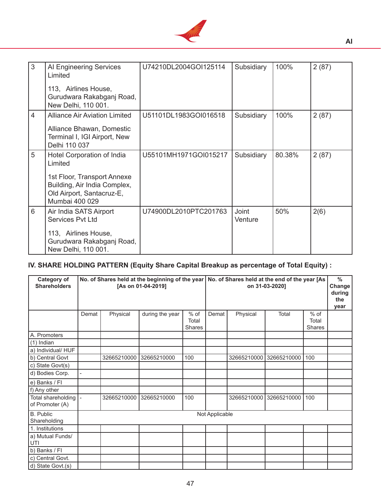

| 3              | AI Engineering Services<br>Limited<br>113, Airlines House,                                                                                          | U74210DL2004GOI125114 | Subsidiary              | 100%   | 2(87) |
|----------------|-----------------------------------------------------------------------------------------------------------------------------------------------------|-----------------------|-------------------------|--------|-------|
|                | Gurudwara Rakabganj Road,<br>New Delhi, 110 001.                                                                                                    |                       |                         |        |       |
| $\overline{4}$ | <b>Alliance Air Aviation Limited</b><br>Alliance Bhawan, Domestic<br>Terminal I, IGI Airport, New<br>Delhi 110 037                                  | U51101DL1983GOI016518 | Subsidiary              | 100%   | 2(87) |
| 5              | Hotel Corporation of India<br>Limited<br>1st Floor, Transport Annexe<br>Building, Air India Complex,<br>Old Airport, Santacruz-E,<br>Mumbai 400 029 | U55101MH1971GOI015217 | Subsidiary              | 80.38% | 2(87) |
| 6              | Air India SATS Airport<br>Services Pvt Ltd<br>113, Airlines House,<br>Gurudwara Rakabganj Road,<br>New Delhi, 110 001.                              | U74900DL2010PTC201763 | <b>Joint</b><br>Venture | 50%    | 2(6)  |

# **IV. SHARE HOLDING PATTERN (Equity Share Capital Breakup as percentage of Total Equity) :**

| <b>Category of</b><br><b>Shareholders</b> |       |             | No. of Shares held at the beginning of the year<br>[As on 01-04-2019] |                                | No. of Shares held at the end of the year [As<br>on 31-03-2020] |             |             | $\frac{0}{0}$<br>Change<br>during<br>the<br>vear |  |
|-------------------------------------------|-------|-------------|-----------------------------------------------------------------------|--------------------------------|-----------------------------------------------------------------|-------------|-------------|--------------------------------------------------|--|
|                                           | Demat | Physical    | during the year                                                       | % of<br>Total<br><b>Shares</b> | Demat                                                           | Physical    | Total       | $%$ of<br>Total<br><b>Shares</b>                 |  |
| A. Promoters                              |       |             |                                                                       |                                |                                                                 |             |             |                                                  |  |
| $(1)$ Indian                              |       |             |                                                                       |                                |                                                                 |             |             |                                                  |  |
| a) Individual/ HUF                        |       |             |                                                                       |                                |                                                                 |             |             |                                                  |  |
| b) Central Govt                           |       | 32665210000 | 32665210000                                                           | 100                            |                                                                 | 32665210000 | 32665210000 | 100                                              |  |
| c) State Govt(s)                          |       |             |                                                                       |                                |                                                                 |             |             |                                                  |  |
| d) Bodies Corp.                           |       |             |                                                                       |                                |                                                                 |             |             |                                                  |  |
| e) Banks / FI                             |       |             |                                                                       |                                |                                                                 |             |             |                                                  |  |
| f) Any other                              |       |             |                                                                       |                                |                                                                 |             |             |                                                  |  |
| Total shareholding<br>of Promoter (A)     |       | 32665210000 | 32665210000                                                           | 100                            |                                                                 | 32665210000 | 32665210000 | 100                                              |  |
| B. Public<br>Shareholding                 |       |             |                                                                       |                                | Not Applicable                                                  |             |             |                                                  |  |
| 1. Institutions                           |       |             |                                                                       |                                |                                                                 |             |             |                                                  |  |
| a) Mutual Funds/<br>UTI                   |       |             |                                                                       |                                |                                                                 |             |             |                                                  |  |
| b) Banks / FI                             |       |             |                                                                       |                                |                                                                 |             |             |                                                  |  |
| c) Central Govt.                          |       |             |                                                                       |                                |                                                                 |             |             |                                                  |  |
| d) State Govt.(s)                         |       |             |                                                                       |                                |                                                                 |             |             |                                                  |  |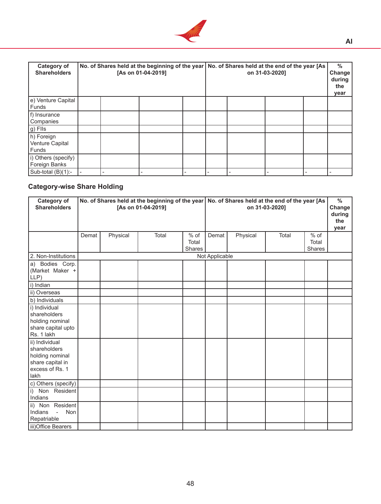

| <b>Category of</b><br><b>Shareholders</b> | No. of Shares held at the beginning of the year   No. of Shares held at the end of the year [As<br>[As on 01-04-2019] |  |  |  | on 31-03-2020] |  |  |  | $\%$<br>Change<br>during<br>the<br>year |
|-------------------------------------------|-----------------------------------------------------------------------------------------------------------------------|--|--|--|----------------|--|--|--|-----------------------------------------|
| e) Venture Capital<br>l Funds             |                                                                                                                       |  |  |  |                |  |  |  |                                         |
| f) Insurance<br><b>Companies</b>          |                                                                                                                       |  |  |  |                |  |  |  |                                         |
| $g)$ Fils                                 |                                                                                                                       |  |  |  |                |  |  |  |                                         |
| h) Foreign<br>Venture Capital<br>l Funds  |                                                                                                                       |  |  |  |                |  |  |  |                                         |
| i) Others (specify)<br>Foreign Banks      |                                                                                                                       |  |  |  |                |  |  |  |                                         |
| Sub-total (B)(1):-                        |                                                                                                                       |  |  |  |                |  |  |  |                                         |

# **Category-wise Share Holding**

| <b>Category of</b><br><b>Shareholders</b>                                                        |       |          | No. of Shares held at the beginning of the year<br>[As on 01-04-2019] |                         | No. of Shares held at the end of the year [As<br>on 31-03-2020] |          |       |                                  | $\frac{0}{6}$<br>Change<br>during<br>the<br>year |
|--------------------------------------------------------------------------------------------------|-------|----------|-----------------------------------------------------------------------|-------------------------|-----------------------------------------------------------------|----------|-------|----------------------------------|--------------------------------------------------|
|                                                                                                  | Demat | Physical | Total                                                                 | % of<br>Total<br>Shares | Demat                                                           | Physical | Total | $%$ of<br>Total<br><b>Shares</b> |                                                  |
| 2. Non-Institutions                                                                              |       |          |                                                                       |                         | Not Applicable                                                  |          |       |                                  |                                                  |
| a) Bodies Corp.<br>(Market Maker +<br>LLP)                                                       |       |          |                                                                       |                         |                                                                 |          |       |                                  |                                                  |
| i) Indian                                                                                        |       |          |                                                                       |                         |                                                                 |          |       |                                  |                                                  |
| ii) Overseas                                                                                     |       |          |                                                                       |                         |                                                                 |          |       |                                  |                                                  |
| b) Individuals                                                                                   |       |          |                                                                       |                         |                                                                 |          |       |                                  |                                                  |
| i) Individual<br>shareholders<br>holding nominal<br>share capital upto<br>Rs. 1 lakh             |       |          |                                                                       |                         |                                                                 |          |       |                                  |                                                  |
| ii) Individual<br>shareholders<br>holding nominal<br>share capital in<br>excess of Rs. 1<br>lakh |       |          |                                                                       |                         |                                                                 |          |       |                                  |                                                  |
| c) Others (specify)                                                                              |       |          |                                                                       |                         |                                                                 |          |       |                                  |                                                  |
| i) Non Resident<br>Indians                                                                       |       |          |                                                                       |                         |                                                                 |          |       |                                  |                                                  |
| Resident<br>ii) Non<br>Non<br>Indians<br>$\mathbb{Z}$<br>Repatriable                             |       |          |                                                                       |                         |                                                                 |          |       |                                  |                                                  |
| iii) Office Bearers                                                                              |       |          |                                                                       |                         |                                                                 |          |       |                                  |                                                  |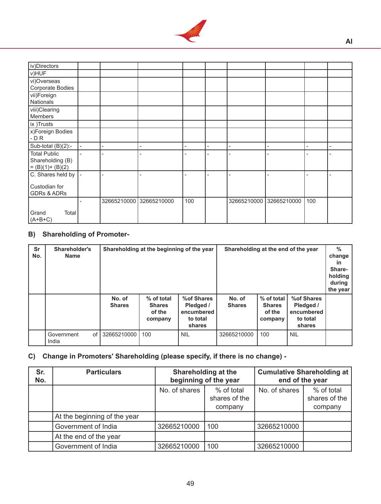

| iv)Directors           |             |             |     |             |             |     |                |
|------------------------|-------------|-------------|-----|-------------|-------------|-----|----------------|
| V)HUF                  |             |             |     |             |             |     |                |
| vi)Overseas            |             |             |     |             |             |     |                |
| Corporate Bodies       |             |             |     |             |             |     |                |
| vii)Foreign            |             |             |     |             |             |     |                |
| Nationals              |             |             |     |             |             |     |                |
| viii)Clearing          |             |             |     |             |             |     |                |
| Members                |             |             |     |             |             |     |                |
| ix )Trusts             |             |             |     |             |             |     |                |
| x)Foreign Bodies       |             |             |     |             |             |     |                |
| $-DR$                  |             |             |     |             |             |     |                |
| Sub-total $(B)(2)$ :-  |             |             |     |             |             |     | $\overline{a}$ |
| <b>Total Public</b>    |             |             |     |             |             |     |                |
| Shareholding (B)       |             |             |     |             |             |     |                |
| $= (B)(1)+(B)(2)$      |             |             |     |             |             |     |                |
| C. Shares held by      |             |             |     |             |             |     |                |
|                        |             |             |     |             |             |     |                |
| Custodian for          |             |             |     |             |             |     |                |
| <b>GDRs &amp; ADRs</b> |             |             |     |             |             |     |                |
|                        | 32665210000 | 32665210000 | 100 | 32665210000 | 32665210000 | 100 |                |
|                        |             |             |     |             |             |     |                |
| Total<br>Grand         |             |             |     |             |             |     |                |
| $(A+B+C)$              |             |             |     |             |             |     |                |

# **B) Shareholding of Promoter-**

| Sr<br>No. | Shareholder's<br><b>Name</b> |                         | Shareholding at the beginning of the year        |                                                              | Shareholding at the end of the year |                                                  |                                                              | $\%$<br>change<br><b>in</b><br>Share-<br>holding<br>during<br>the year |
|-----------|------------------------------|-------------------------|--------------------------------------------------|--------------------------------------------------------------|-------------------------------------|--------------------------------------------------|--------------------------------------------------------------|------------------------------------------------------------------------|
|           |                              | No. of<br><b>Shares</b> | % of total<br><b>Shares</b><br>of the<br>company | % of Shares<br>Pledged /<br>encumbered<br>to total<br>shares | No. of<br><b>Shares</b>             | % of total<br><b>Shares</b><br>of the<br>company | % of Shares<br>Pledged /<br>encumbered<br>to total<br>shares |                                                                        |
|           | of<br>Government<br>India    | 32665210000             | 100                                              | <b>NIL</b>                                                   | 32665210000                         | 100                                              | <b>NIL</b>                                                   |                                                                        |

# **C) Change in Promoters' Shareholding (please specify, if there is no change) -**

| Sr.<br>No. | <b>Particulars</b>           |               | <b>Shareholding at the</b><br>beginning of the year | <b>Cumulative Shareholding at</b><br>end of the year |                                        |  |
|------------|------------------------------|---------------|-----------------------------------------------------|------------------------------------------------------|----------------------------------------|--|
|            |                              | No. of shares | % of total<br>shares of the<br>company              | No. of shares                                        | % of total<br>shares of the<br>company |  |
|            | At the beginning of the year |               |                                                     |                                                      |                                        |  |
|            | Government of India          | 32665210000   | 100                                                 | 32665210000                                          |                                        |  |
|            | At the end of the year       |               |                                                     |                                                      |                                        |  |
|            | Government of India          | 32665210000   | 100                                                 | 32665210000                                          |                                        |  |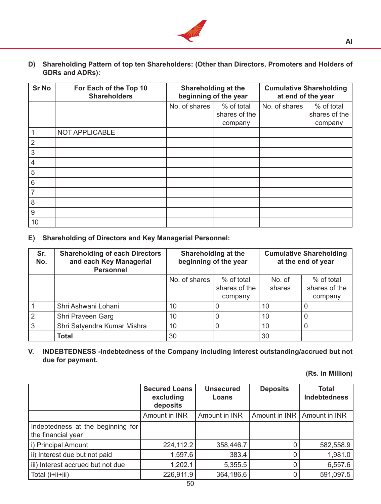

**D) Shareholding Pattern of top ten Shareholders: (Other than Directors, Promoters and Holders of GDRs and ADRs):**

| <b>Sr No</b>    | For Each of the Top 10<br><b>Shareholders</b> |               | <b>Shareholding at the</b><br>beginning of the year | <b>Cumulative Shareholding</b><br>at end of the year |                          |  |
|-----------------|-----------------------------------------------|---------------|-----------------------------------------------------|------------------------------------------------------|--------------------------|--|
|                 |                                               | No. of shares | % of total                                          | No. of shares                                        | % of total               |  |
|                 |                                               |               | shares of the<br>company                            |                                                      | shares of the<br>company |  |
|                 | NOT APPLICABLE                                |               |                                                     |                                                      |                          |  |
| $\overline{2}$  |                                               |               |                                                     |                                                      |                          |  |
| 3               |                                               |               |                                                     |                                                      |                          |  |
| $\overline{4}$  |                                               |               |                                                     |                                                      |                          |  |
| 5               |                                               |               |                                                     |                                                      |                          |  |
| $6\phantom{1}6$ |                                               |               |                                                     |                                                      |                          |  |
| 7               |                                               |               |                                                     |                                                      |                          |  |
| 8               |                                               |               |                                                     |                                                      |                          |  |
| 9               |                                               |               |                                                     |                                                      |                          |  |
| 10              |                                               |               |                                                     |                                                      |                          |  |

**E) Shareholding of Directors and Key Managerial Personnel:**

| Sr.<br>No. | <b>Shareholding of each Directors</b><br>and each Key Managerial<br><b>Personnel</b> |               | Shareholding at the<br>beginning of the year | <b>Cumulative Shareholding</b><br>at the end of year |                                        |  |
|------------|--------------------------------------------------------------------------------------|---------------|----------------------------------------------|------------------------------------------------------|----------------------------------------|--|
|            |                                                                                      | No. of shares | % of total<br>shares of the<br>company       | No. of<br>shares                                     | % of total<br>shares of the<br>company |  |
|            | Shri Ashwani Lohani                                                                  | 10            |                                              | 10                                                   |                                        |  |
|            | Shri Praveen Garg                                                                    | 10            |                                              | 10                                                   |                                        |  |
| 3          | Shri Satyendra Kumar Mishra                                                          | 10            | O                                            | 10                                                   | O                                      |  |
|            | <b>Total</b>                                                                         | 30            |                                              | 30                                                   |                                        |  |

**V. INDEBTEDNESS -Indebtedness of the Company including interest outstanding/accrued but not due for payment.**

**(Rs. in Million)**

|                                                         | <b>Secured Loans</b><br>excluding<br>deposits | <b>Unsecured</b><br>Loans | <b>Deposits</b>               | <b>Total</b><br><b>Indebtedness</b> |  |
|---------------------------------------------------------|-----------------------------------------------|---------------------------|-------------------------------|-------------------------------------|--|
|                                                         | Amount in INR                                 | Amount in INR             | Amount in INR   Amount in INR |                                     |  |
| Indebtedness at the beginning for<br>the financial year |                                               |                           |                               |                                     |  |
| i) Principal Amount                                     | 224,112.2                                     | 358,446.7                 |                               | 582,558.9                           |  |
| ii) Interest due but not paid                           | 1,597.6                                       | 383.4                     |                               | 1,981.0                             |  |
| iii) Interest accrued but not due                       | 1,202.1                                       | 5,355.5                   |                               | 6,557.6                             |  |
| Total (i+ii+iii)                                        | 226,911.9                                     | 364,186.6                 |                               | 591,097.5                           |  |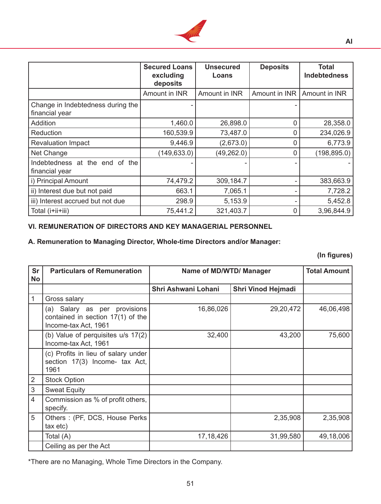

|                                                     | <b>Secured Loans</b><br>excluding<br>deposits | <b>Unsecured</b><br>Loans | <b>Deposits</b> | Total<br><b>Indebtedness</b> |
|-----------------------------------------------------|-----------------------------------------------|---------------------------|-----------------|------------------------------|
|                                                     | Amount in INR                                 | Amount in INR             | Amount in INR   | Amount in INR                |
| Change in Indebtedness during the<br>financial year |                                               |                           |                 |                              |
| Addition                                            | 1,460.0                                       | 26,898.0                  | 0               | 28,358.0                     |
| Reduction                                           | 160,539.9                                     | 73,487.0                  | 0               | 234,026.9                    |
| <b>Revaluation Impact</b>                           | 9,446.9                                       | (2,673.0)                 | 0               | 6,773.9                      |
| Net Change                                          | (149, 633.0)                                  | (49, 262.0)               | 0               | (198, 895.0)                 |
| Indebtedness at the end of the<br>financial year    |                                               |                           |                 |                              |
| i) Principal Amount                                 | 74,479.2                                      | 309,184.7                 |                 | 383,663.9                    |
| ii) Interest due but not paid                       | 663.1                                         | 7,065.1                   |                 | 7,728.2                      |
| iii) Interest accrued but not due                   | 298.9                                         | 5,153.9                   |                 | 5,452.8                      |
| Total (i+ii+iii)                                    | 75,441.2                                      | 321,403.7                 | 0               | 3,96,844.9                   |

#### **VI. REMUNERATION OF DIRECTORS AND KEY MANAGERIAL PERSONNEL**

# **A. Remuneration to Managing Director, Whole-time Directors and/or Manager:**

**(In figures)**

| <b>Sr</b>      | <b>Particulars of Remuneration</b>                                                        | Name of MD/WTD/ Manager | <b>Total Amount</b>       |           |
|----------------|-------------------------------------------------------------------------------------------|-------------------------|---------------------------|-----------|
| <b>No</b>      |                                                                                           | Shri Ashwani Lohani     | <b>Shri Vinod Hejmadi</b> |           |
| 1              | Gross salary                                                                              |                         |                           |           |
|                | (a) Salary as per provisions<br>contained in section 17(1) of the<br>Income-tax Act, 1961 | 16,86,026               | 29, 20, 472               | 46,06,498 |
|                | (b) Value of perquisites u/s 17(2)<br>Income-tax Act, 1961                                | 32,400                  | 43,200                    | 75,600    |
|                | (c) Profits in lieu of salary under<br>section 17(3) Income- tax Act,<br>1961             |                         |                           |           |
| $\overline{2}$ | <b>Stock Option</b>                                                                       |                         |                           |           |
| $\sqrt{3}$     | <b>Sweat Equity</b>                                                                       |                         |                           |           |
| $\overline{4}$ | Commission as % of profit others,<br>specify.                                             |                         |                           |           |
| 5              | Others: (PF, DCS, House Perks)<br>tax etc)                                                |                         | 2,35,908                  | 2,35,908  |
|                | Total (A)                                                                                 | 17, 18, 426             | 31,99,580                 | 49,18,006 |
|                | Ceiling as per the Act                                                                    |                         |                           |           |

\*There are no Managing, Whole Time Directors in the Company.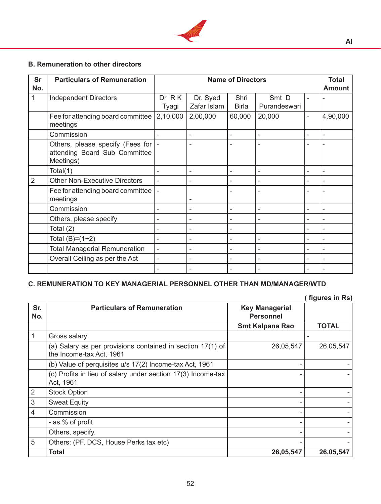

# **B. Remuneration to other directors**

| <b>Sr</b><br>No. | <b>Particulars of Remuneration</b>                                             | <b>Name of Directors</b> |                          |                          |                          | <b>Total</b><br><b>Amount</b> |          |
|------------------|--------------------------------------------------------------------------------|--------------------------|--------------------------|--------------------------|--------------------------|-------------------------------|----------|
| 1                | <b>Independent Directors</b>                                                   | Dr R K<br>Tyagi          | Dr. Syed<br>Zafar Islam  | Shri<br><b>Birla</b>     | Smt D<br>Purandeswari    | ÷                             |          |
|                  | Fee for attending board committee<br>meetings                                  | 2,10,000                 | 2,00,000                 | 60,000                   | 20,000                   | $\overline{\phantom{0}}$      | 4,90,000 |
|                  | Commission                                                                     |                          | ۰                        | ÷,                       |                          | ۰                             |          |
|                  | Others, please specify (Fees for<br>attending Board Sub Committee<br>Meetings) |                          | $\overline{\phantom{0}}$ | ۰                        |                          |                               |          |
|                  | Total(1)                                                                       |                          | ۰                        | $\overline{\phantom{0}}$ | ٠                        | $\overline{\phantom{0}}$      |          |
| 2                | <b>Other Non-Executive Directors</b>                                           |                          |                          |                          |                          | ۰                             |          |
|                  | Fee for attending board committee<br>meetings                                  |                          |                          |                          |                          |                               |          |
|                  | Commission                                                                     | ۳                        | ۳                        | $\overline{\phantom{a}}$ | $\qquad \qquad -$        | $\overline{\phantom{0}}$      |          |
|                  | Others, please specify                                                         |                          | $\overline{\phantom{0}}$ | ۰                        |                          | ۰                             |          |
|                  | Total (2)                                                                      |                          |                          |                          |                          |                               |          |
|                  | Total $(B)=(1+2)$                                                              |                          |                          |                          | ٠                        | ۰                             |          |
|                  | <b>Total Managerial Remuneration</b>                                           |                          |                          |                          |                          |                               |          |
|                  | Overall Ceiling as per the Act                                                 | $\overline{\phantom{0}}$ |                          | ۰                        |                          | ۰                             |          |
|                  |                                                                                | ۰                        | -                        | ۰                        | $\overline{\phantom{a}}$ | ۰                             |          |

## **C. REMUNERATION TO KEY MANAGERIAL PERSONNEL OTHER THAN MD/MANAGER/WTD**

**( figures in Rs)** 

| Sr.<br>No.     | <b>Particulars of Remuneration</b>                                                     | <b>Key Managerial</b><br><b>Personnel</b> |              |
|----------------|----------------------------------------------------------------------------------------|-------------------------------------------|--------------|
|                |                                                                                        | <b>Smt Kalpana Rao</b>                    | <b>TOTAL</b> |
|                | Gross salary                                                                           |                                           |              |
|                | (a) Salary as per provisions contained in section 17(1) of<br>the Income-tax Act, 1961 | 26,05,547                                 | 26,05,547    |
|                | (b) Value of perquisites u/s 17(2) Income-tax Act, 1961                                |                                           |              |
|                | (c) Profits in lieu of salary under section 17(3) Income-tax<br>Act, 1961              |                                           |              |
| 2              | <b>Stock Option</b>                                                                    |                                           |              |
| $\mathbf{3}$   | <b>Sweat Equity</b>                                                                    |                                           |              |
| $\overline{4}$ | Commission                                                                             |                                           |              |
|                | - as % of profit                                                                       |                                           |              |
|                | Others, specify.                                                                       |                                           |              |
| 5              | Others: (PF, DCS, House Perks tax etc)                                                 |                                           |              |
|                | Total                                                                                  | 26,05,547                                 | 26,05,547    |